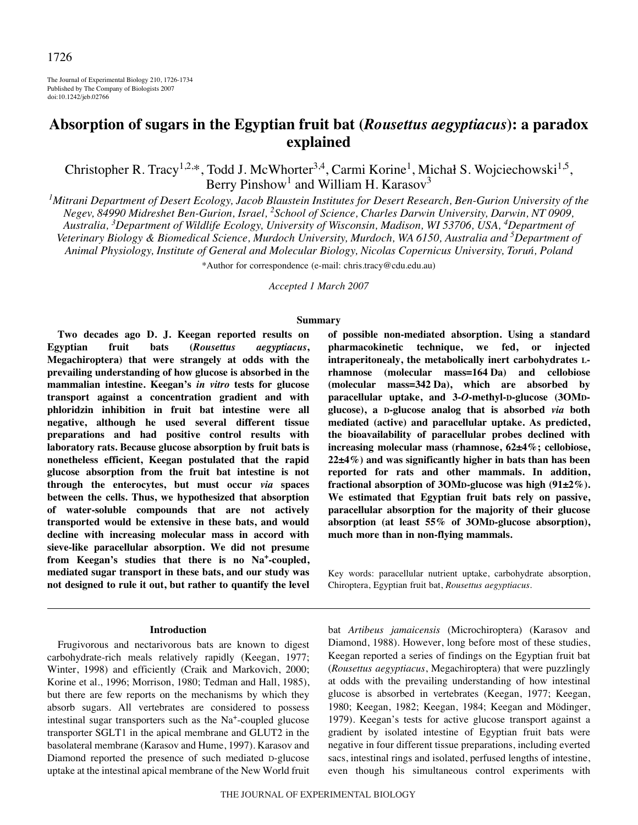The Journal of Experimental Biology 210, 1726-1734 Published by The Company of Biologists 2007 doi:10.1242/jeb.02766

# **Absorption of sugars in the Egyptian fruit bat (***Rousettus aegyptiacus***): a paradox explained**

Christopher R. Tracy<sup>1,2,\*</sup>, Todd J. McWhorter<sup>3,4</sup>, Carmi Korine<sup>1</sup>, Michał S. Wojciechowski<sup>1,5</sup>, Berry Pinshow<sup>1</sup> and William H. Karasov<sup>3</sup>

*1 Mitrani Department of Desert Ecology, Jacob Blaustein Institutes for Desert Research, Ben-Gurion University of the Negev, 84990 Midreshet Ben-Gurion, Israel, <sup>2</sup> School of Science, Charles Darwin University, Darwin, NT 0909, Australia, 3 Department of Wildlife Ecology, University of Wisconsin, Madison, WI 53706, USA, <sup>4</sup> Department of Veterinary Biology & Biomedical Science, Murdoch University, Murdoch, WA 6150, Australia and 5 Department of Animal Physiology, Institute of General and Molecular Biology, Nicolas Copernicus University, Torun, Poland*

\*Author for correspondence (e-mail: chris.tracy@cdu.edu.au)

*Accepted 1 March 2007*

#### **Summary**

**Two decades ago D. J. Keegan reported results on Egyptian fruit bats (***Rousettus aegyptiacus***, Megachiroptera) that were strangely at odds with the prevailing understanding of how glucose is absorbed in the mammalian intestine. Keegan's** *in vitro* **tests for glucose transport against a concentration gradient and with phloridzin inhibition in fruit bat intestine were all negative, although he used several different tissue preparations and had positive control results with laboratory rats. Because glucose absorption by fruit bats is nonetheless efficient, Keegan postulated that the rapid glucose absorption from the fruit bat intestine is not through the enterocytes, but must occur** *via* **spaces between the cells. Thus, we hypothesized that absorption of water-soluble compounds that are not actively transported would be extensive in these bats, and would decline with increasing molecular mass in accord with sieve-like paracellular absorption. We did not presume from Keegan's studies that there is no Na+-coupled, mediated sugar transport in these bats, and our study was not designed to rule it out, but rather to quantify the level**

## **Introduction**

Frugivorous and nectarivorous bats are known to digest carbohydrate-rich meals relatively rapidly (Keegan, 1977; Winter, 1998) and efficiently (Craik and Markovich, 2000; Korine et al., 1996; Morrison, 1980; Tedman and Hall, 1985), but there are few reports on the mechanisms by which they absorb sugars. All vertebrates are considered to possess intestinal sugar transporters such as the Na+-coupled glucose transporter SGLT1 in the apical membrane and GLUT2 in the basolateral membrane (Karasov and Hume, 1997). Karasov and Diamond reported the presence of such mediated D-glucose uptake at the intestinal apical membrane of the New World fruit **of possible non-mediated absorption. Using a standard pharmacokinetic technique, we fed, or injected intraperitonealy, the metabolically inert carbohydrates L**rhamnose (molecular mass=164 Da) and cellobiose (molecular mass=342 Da), which are absorbed by **paracellular uptake, and 3-***O***-methyl-D-glucose (3OMDglucose), a D-glucose analog that is absorbed** *via* **both mediated (active) and paracellular uptake. As predicted, the bioavailability of paracellular probes declined with increasing molecular mass (rhamnose, 62±4%; cellobiose, 22±4%) and was significantly higher in bats than has been reported for rats and other mammals. In addition, fractional absorption of 3OMD-glucose was high (91±2%). We estimated that Egyptian fruit bats rely on passive, paracellular absorption for the majority of their glucose absorption (at least 55% of 3OMD-glucose absorption), much more than in non-flying mammals.**

Key words: paracellular nutrient uptake, carbohydrate absorption, Chiroptera, Egyptian fruit bat, *Rousettus aegyptiacus*.

bat *Artibeus jamaicensis* (Microchiroptera) (Karasov and Diamond, 1988). However, long before most of these studies, Keegan reported a series of findings on the Egyptian fruit bat (*Rousettus aegyptiacus*, Megachiroptera) that were puzzlingly at odds with the prevailing understanding of how intestinal glucose is absorbed in vertebrates (Keegan, 1977; Keegan, 1980; Keegan, 1982; Keegan, 1984; Keegan and Mödinger, 1979). Keegan's tests for active glucose transport against a gradient by isolated intestine of Egyptian fruit bats were negative in four different tissue preparations, including everted sacs, intestinal rings and isolated, perfused lengths of intestine, even though his simultaneous control experiments with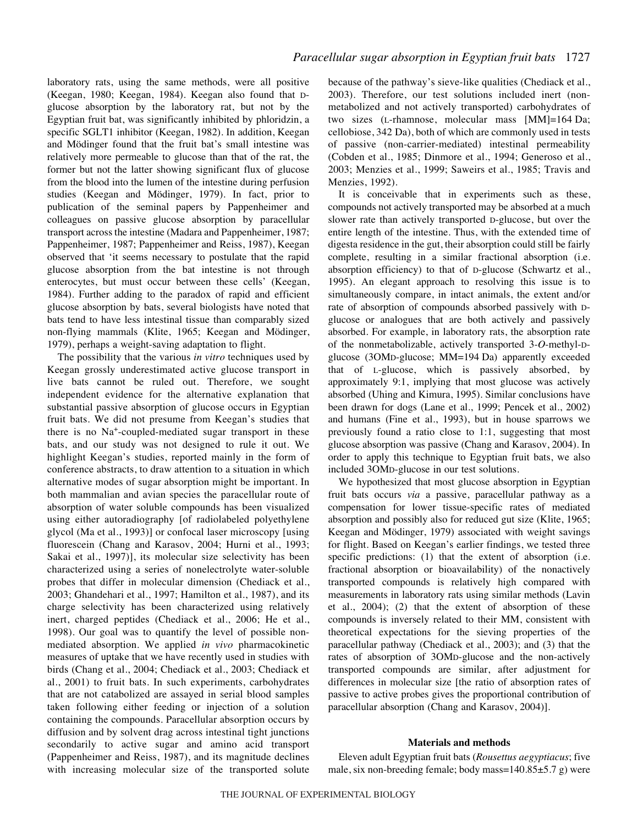laboratory rats, using the same methods, were all positive (Keegan, 1980; Keegan, 1984). Keegan also found that Dglucose absorption by the laboratory rat, but not by the Egyptian fruit bat, was significantly inhibited by phloridzin, a specific SGLT1 inhibitor (Keegan, 1982). In addition, Keegan and Mödinger found that the fruit bat's small intestine was relatively more permeable to glucose than that of the rat, the former but not the latter showing significant flux of glucose from the blood into the lumen of the intestine during perfusion studies (Keegan and Mödinger, 1979). In fact, prior to publication of the seminal papers by Pappenheimer and colleagues on passive glucose absorption by paracellular transport across the intestine (Madara and Pappenheimer, 1987; Pappenheimer, 1987; Pappenheimer and Reiss, 1987), Keegan observed that 'it seems necessary to postulate that the rapid glucose absorption from the bat intestine is not through enterocytes, but must occur between these cells' (Keegan, 1984). Further adding to the paradox of rapid and efficient glucose absorption by bats, several biologists have noted that bats tend to have less intestinal tissue than comparably sized non-flying mammals (Klite, 1965; Keegan and Mödinger, 1979), perhaps a weight-saving adaptation to flight.

The possibility that the various *in vitro* techniques used by Keegan grossly underestimated active glucose transport in live bats cannot be ruled out. Therefore, we sought independent evidence for the alternative explanation that substantial passive absorption of glucose occurs in Egyptian fruit bats. We did not presume from Keegan's studies that there is no Na+-coupled-mediated sugar transport in these bats, and our study was not designed to rule it out. We highlight Keegan's studies, reported mainly in the form of conference abstracts, to draw attention to a situation in which alternative modes of sugar absorption might be important. In both mammalian and avian species the paracellular route of absorption of water soluble compounds has been visualized using either autoradiography [of radiolabeled polyethylene glycol (Ma et al., 1993)] or confocal laser microscopy [using fluorescein (Chang and Karasov, 2004; Hurni et al., 1993; Sakai et al., 1997)], its molecular size selectivity has been characterized using a series of nonelectrolyte water-soluble probes that differ in molecular dimension (Chediack et al., 2003; Ghandehari et al., 1997; Hamilton et al., 1987), and its charge selectivity has been characterized using relatively inert, charged peptides (Chediack et al., 2006; He et al., 1998). Our goal was to quantify the level of possible nonmediated absorption. We applied *in vivo* pharmacokinetic measures of uptake that we have recently used in studies with birds (Chang et al., 2004; Chediack et al., 2003; Chediack et al., 2001) to fruit bats. In such experiments, carbohydrates that are not catabolized are assayed in serial blood samples taken following either feeding or injection of a solution containing the compounds. Paracellular absorption occurs by diffusion and by solvent drag across intestinal tight junctions secondarily to active sugar and amino acid transport (Pappenheimer and Reiss, 1987), and its magnitude declines with increasing molecular size of the transported solute

because of the pathway's sieve-like qualities (Chediack et al., 2003). Therefore, our test solutions included inert (nonmetabolized and not actively transported) carbohydrates of two sizes (L-rhamnose, molecular mass  $[MM]=164$  Da; cellobiose, 342 Da), both of which are commonly used in tests of passive (non-carrier-mediated) intestinal permeability (Cobden et al., 1985; Dinmore et al., 1994; Generoso et al., 2003; Menzies et al., 1999; Saweirs et al., 1985; Travis and Menzies, 1992).

It is conceivable that in experiments such as these, compounds not actively transported may be absorbed at a much slower rate than actively transported D-glucose, but over the entire length of the intestine. Thus, with the extended time of digesta residence in the gut, their absorption could still be fairly complete, resulting in a similar fractional absorption (i.e. absorption efficiency) to that of D-glucose (Schwartz et al., 1995). An elegant approach to resolving this issue is to simultaneously compare, in intact animals, the extent and/or rate of absorption of compounds absorbed passively with Dglucose or analogues that are both actively and passively absorbed. For example, in laboratory rats, the absorption rate of the nonmetabolizable, actively transported 3-*O*-methyl-Dglucose (30MD-glucose; MM=194 Da) apparently exceeded that of L-glucose, which is passively absorbed, by approximately 9:1, implying that most glucose was actively absorbed (Uhing and Kimura, 1995). Similar conclusions have been drawn for dogs (Lane et al., 1999; Pencek et al., 2002) and humans (Fine et al., 1993), but in house sparrows we previously found a ratio close to 1:1, suggesting that most glucose absorption was passive (Chang and Karasov, 2004). In order to apply this technique to Egyptian fruit bats, we also included 3OMD-glucose in our test solutions.

We hypothesized that most glucose absorption in Egyptian fruit bats occurs *via* a passive, paracellular pathway as a compensation for lower tissue-specific rates of mediated absorption and possibly also for reduced gut size (Klite, 1965; Keegan and Mödinger, 1979) associated with weight savings for flight. Based on Keegan's earlier findings, we tested three specific predictions: (1) that the extent of absorption (i.e. fractional absorption or bioavailability) of the nonactively transported compounds is relatively high compared with measurements in laboratory rats using similar methods (Lavin et al., 2004); (2) that the extent of absorption of these compounds is inversely related to their MM, consistent with theoretical expectations for the sieving properties of the paracellular pathway (Chediack et al., 2003); and (3) that the rates of absorption of 3OMD-glucose and the non-actively transported compounds are similar, after adjustment for differences in molecular size [the ratio of absorption rates of passive to active probes gives the proportional contribution of paracellular absorption (Chang and Karasov, 2004)].

## **Materials and methods**

Eleven adult Egyptian fruit bats (*Rousettus aegyptiacus*; five male, six non-breeding female; body mass= $140.85\pm5.7$  g) were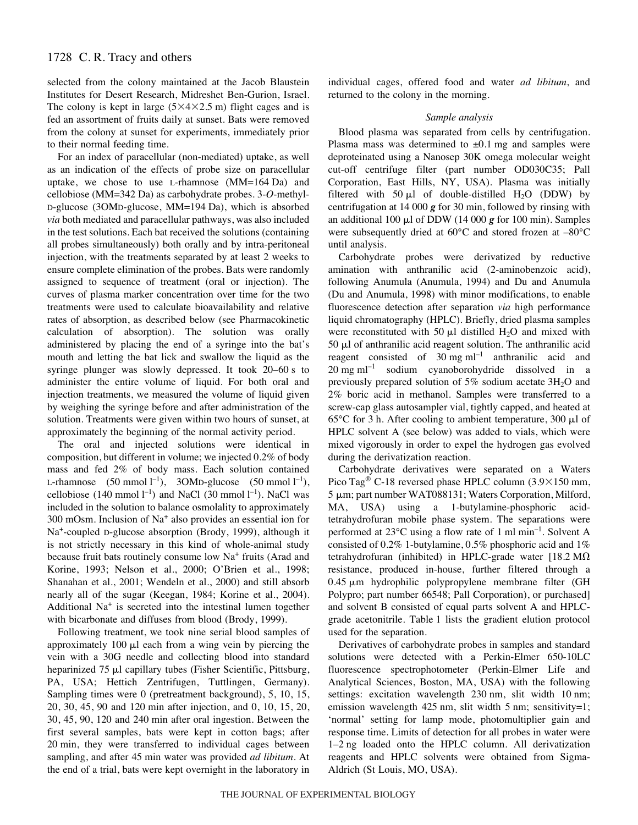selected from the colony maintained at the Jacob Blaustein Institutes for Desert Research, Midreshet Ben-Gurion, Israel. The colony is kept in large  $(5 \times 4 \times 2.5 \text{ m})$  flight cages and is fed an assortment of fruits daily at sunset. Bats were removed from the colony at sunset for experiments, immediately prior to their normal feeding time.

For an index of paracellular (non-mediated) uptake, as well as an indication of the effects of probe size on paracellular uptake, we chose to use L-rhamnose  $(MM=164~Da)$  and cellobiose (MM=342 Da) as carbohydrate probes. 3-*O*-methyl-D-glucose (3OMD-glucose, MM=194 Da), which is absorbed *via* both mediated and paracellular pathways, was also included in the test solutions. Each bat received the solutions (containing all probes simultaneously) both orally and by intra-peritoneal injection, with the treatments separated by at least 2 weeks to ensure complete elimination of the probes. Bats were randomly assigned to sequence of treatment (oral or injection). The curves of plasma marker concentration over time for the two treatments were used to calculate bioavailability and relative rates of absorption, as described below (see Pharmacokinetic calculation of absorption). The solution was orally administered by placing the end of a syringe into the bat's mouth and letting the bat lick and swallow the liquid as the syringe plunger was slowly depressed. It took  $20-60$  s to administer the entire volume of liquid. For both oral and injection treatments, we measured the volume of liquid given by weighing the syringe before and after administration of the solution. Treatments were given within two hours of sunset, at approximately the beginning of the normal activity period.

The oral and injected solutions were identical in composition, but different in volume; we injected 0.2% of body mass and fed 2% of body mass. Each solution contained L-rhamnose  $(50 \text{ mmol l}^{-1})$ ,  $3OMD$ -glucose  $(50 \text{ mmol l}^{-1})$ , cellobiose (140 mmol  $l^{-1}$ ) and NaCl (30 mmol  $l^{-1}$ ). NaCl was included in the solution to balance osmolality to approximately  $300$  mOsm. Inclusion of Na<sup>+</sup> also provides an essential ion for Na+-coupled D-glucose absorption (Brody, 1999), although it is not strictly necessary in this kind of whole-animal study because fruit bats routinely consume low Na<sup>+</sup> fruits (Arad and Korine, 1993; Nelson et al., 2000; O'Brien et al., 1998; Shanahan et al., 2001; Wendeln et al., 2000) and still absorb nearly all of the sugar (Keegan, 1984; Korine et al., 2004). Additional Na<sup>+</sup> is secreted into the intestinal lumen together with bicarbonate and diffuses from blood (Brody, 1999).

Following treatment, we took nine serial blood samples of approximately  $100 \mu l$  each from a wing vein by piercing the vein with a 30G needle and collecting blood into standard heparinized  $75 \mu l$  capillary tubes (Fisher Scientific, Pittsburg, PA, USA; Hettich Zentrifugen, Tuttlingen, Germany). Sampling times were 0 (pretreatment background), 5, 10, 15, 20, 30, 45, 90 and 120 min after injection, and 0, 10, 15, 20,  $30, 45, 90, 120$  and  $240$  min after oral ingestion. Between the first several samples, bats were kept in cotton bags; after 20 min, they were transferred to individual cages between sampling, and after 45 min water was provided *ad libitum*. At the end of a trial, bats were kept overnight in the laboratory in individual cages, offered food and water *ad libitum*, and returned to the colony in the morning.

## *Sample analysis*

Blood plasma was separated from cells by centrifugation. Plasma mass was determined to  $\pm 0.1$  mg and samples were deproteinated using a Nanosep 30K omega molecular weight cut-off centrifuge filter (part number OD030C35; Pall Corporation, East Hills, NY, USA). Plasma was initially filtered with 50  $\mu$ l of double-distilled H<sub>2</sub>O (DDW) by centrifugation at 14 000  $\boldsymbol{g}$  for 30 min, followed by rinsing with an additional 100  $\mu$ l of DDW (14 000  $\boldsymbol{g}$  for 100 min). Samples were subsequently dried at 60°C and stored frozen at –80°C until analysis.

Carbohydrate probes were derivatized by reductive amination with anthranilic acid (2-aminobenzoic acid), following Anumula (Anumula, 1994) and Du and Anumula (Du and Anumula, 1998) with minor modifications, to enable fluorescence detection after separation *via* high performance liquid chromatography (HPLC). Briefly, dried plasma samples were reconstituted with 50  $\mu$ l distilled H<sub>2</sub>O and mixed with  $50 \mu l$  of anthranilic acid reagent solution. The anthranilic acid reagent consisted of  $30 \text{ mg ml}^{-1}$  anthranilic acid and  $20$  mg ml<sup>-1</sup> sodium cyanoborohydride dissolved in a previously prepared solution of  $5\%$  sodium acetate  $3H<sub>2</sub>O$  and 2% boric acid in methanol. Samples were transferred to a screw-cap glass autosampler vial, tightly capped, and heated at 65 $\degree$ C for 3 h. After cooling to ambient temperature, 300  $\mu$ l of HPLC solvent A (see below) was added to vials, which were mixed vigorously in order to expel the hydrogen gas evolved during the derivatization reaction.

Carbohydrate derivatives were separated on a Waters Pico Tag<sup>®</sup> C-18 reversed phase HPLC column  $(3.9\times150 \text{ mm})$ , 5  $\mu$ m; part number WAT088131; Waters Corporation, Milford, MA, USA) using a 1-butylamine-phosphoric acidtetrahydrofuran mobile phase system. The separations were performed at  $23^{\circ}$ C using a flow rate of 1 ml min<sup>-1</sup>. Solvent A consisted of 0.2% 1-butylamine, 0.5% phosphoric acid and 1% tetrahydrofuran (inhibited) in HPLC-grade water  $[18.2 M\Omega]$ resistance, produced in-house, further filtered through a  $0.45 \mu m$  hydrophilic polypropylene membrane filter (GH Polypro; part number 66548; Pall Corporation), or purchased] and solvent B consisted of equal parts solvent A and HPLCgrade acetonitrile. Table 1 lists the gradient elution protocol used for the separation.

Derivatives of carbohydrate probes in samples and standard solutions were detected with a Perkin-Elmer 650-10LC fluorescence spectrophotometer (Perkin-Elmer Life and Analytical Sciences, Boston, MA, USA) with the following settings: excitation wavelength 230 nm, slit width 10 nm; emission wavelength  $425$  nm, slit width 5 nm; sensitivity=1; 'normal' setting for lamp mode, photomultiplier gain and response time. Limits of detection for all probes in water were 1–2 ng loaded onto the HPLC column. All derivatization reagents and HPLC solvents were obtained from Sigma-Aldrich (St Louis, MO, USA).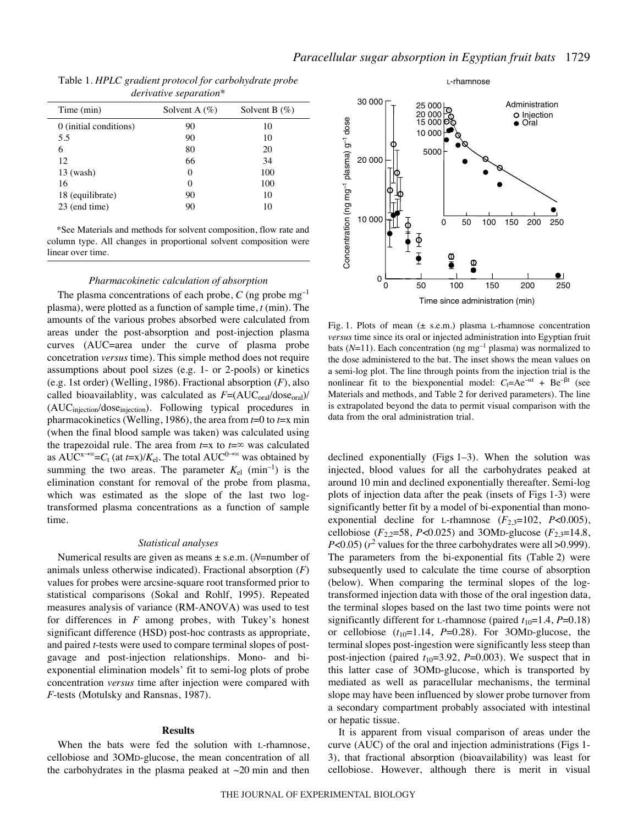|            | Table 1. HPLC gradient protocol for carbohydrate probe |                                                 |
|------------|--------------------------------------------------------|-------------------------------------------------|
|            | derivative separation*                                 |                                                 |
| Time (min) | $\lambda$ $\alpha$ $\alpha$ $\beta$ $\beta$ $\beta$    | $\mathbf{C}_0$ vant $\mathbf{D}(\mathcal{O}_0)$ |

| Time (min)             | Solvent A $(\% )$ | Solvent B $(\%)$ |
|------------------------|-------------------|------------------|
| 0 (initial conditions) | 90                | 10               |
| 5.5                    | 90                | 10               |
| 6                      | 80                | 20               |
| 12                     | 66                | 34               |
| $13$ (wash)            | 0                 | 100              |
| 16                     | $\Omega$          | 100              |
| 18 (equilibrate)       | 90                | 10               |
| 23 (end time)          | 90                | 10               |

\*See Materials and methods for solvent composition, flow rate and column type. All changes in proportional solvent composition were linear over time.

## *Pharmacokinetic calculation of absorption*

The plasma concentrations of each probe,  $C$  (ng probe  $mg^{-1}$ ) plasma), were plotted as a function of sample time, *t* (min). The amounts of the various probes absorbed were calculated from areas under the post-absorption and post-injection plasma curves (AUC=area under the curve of plasma probe concetration *versus* time). This simple method does not require assumptions about pool sizes (e.g. 1- or 2-pools) or kinetics (e.g. 1st order) (Welling, 1986). Fractional absorption (*F*), also called bioavailablity, was calculated as  $F = (AUC_{oral}/dose_{oral})/$ (AUC<sub>injection</sub>/dose<sub>injection</sub>). Following typical procedures in pharmacokinetics (Welling, 1986), the area from *t*=0 to *t*=x min (when the final blood sample was taken) was calculated using the trapezoidal rule. The area from  $t=x$  to  $t=\infty$  was calculated as AUC<sup>x→∞</sup>= $C_t$  (at *t*=x)/ $K_{el}$ . The total AUC<sup>0→∞</sup> was obtained by summing the two areas. The parameter  $K_{el}$  (min<sup>-1</sup>) is the elimination constant for removal of the probe from plasma, which was estimated as the slope of the last two logtransformed plasma concentrations as a function of sample time.

#### *Statistical analyses*

Numerical results are given as means ± s.e.m. (*N*=number of animals unless otherwise indicated). Fractional absorption (*F*) values for probes were arcsine-square root transformed prior to statistical comparisons (Sokal and Rohlf, 1995). Repeated measures analysis of variance (RM-ANOVA) was used to test for differences in *F* among probes, with Tukey's honest significant difference (HSD) post-hoc contrasts as appropriate, and paired *t*-tests were used to compare terminal slopes of postgavage and post-injection relationships. Mono- and biexponential elimination models' fit to semi-log plots of probe concentration *versus* time after injection were compared with *F*-tests (Motulsky and Ransnas, 1987).

## **Results**

When the bats were fed the solution with L-rhamnose, cellobiose and 3OMD-glucose, the mean concentration of all the carbohydrates in the plasma peaked at  $\sim$ 20 min and then



Fig. 1. Plots of mean  $(\pm \text{ s.e.m.})$  plasma L-rhamnose concentration *versus* time since its oral or injected administration into Egyptian fruit bats ( $N=11$ ). Each concentration (ng mg<sup>-1</sup> plasma) was normalized to the dose administered to the bat. The inset shows the mean values on a semi-log plot. The line through points from the injection trial is the nonlinear fit to the biexponential model:  $C_t = Ae^{-\alpha t} + Be^{-\beta t}$  (see Materials and methods, and Table 2 for derived parameters). The line is extrapolated beyond the data to permit visual comparison with the data from the oral administration trial.

declined exponentially (Figs  $1-3$ ). When the solution was injected, blood values for all the carbohydrates peaked at around 10 min and declined exponentially thereafter. Semi-log plots of injection data after the peak (insets of Figs 1-3) were significantly better fit by a model of bi-exponential than monoexponential decline for L-rhamnose  $(F_{2,3}=102, P<0.005)$ , cellobiose ( $F_{2,2}$ =58, *P*<0.025) and 3OMD-glucose ( $F_{2,3}$ =14.8, *P*<0.05) ( $r^2$  values for the three carbohydrates were all  $>0.999$ ). The parameters from the bi-exponential fits (Table 2) were subsequently used to calculate the time course of absorption (below). When comparing the terminal slopes of the logtransformed injection data with those of the oral ingestion data, the terminal slopes based on the last two time points were not significantly different for L-rhamnose (paired  $t_{10}=1.4$ ,  $P=0.18$ ) or cellobiose  $(t_{10}=1.14, P=0.28)$ . For 3OMD-glucose, the terminal slopes post-ingestion were significantly less steep than post-injection (paired  $t_{10}=3.92$ ,  $P=0.003$ ). We suspect that in this latter case of 3OMD-glucose, which is transported by mediated as well as paracellular mechanisms, the terminal slope may have been influenced by slower probe turnover from a secondary compartment probably associated with intestinal or hepatic tissue.

It is apparent from visual comparison of areas under the curve (AUC) of the oral and injection administrations (Figs·1- 3), that fractional absorption (bioavailability) was least for cellobiose. However, although there is merit in visual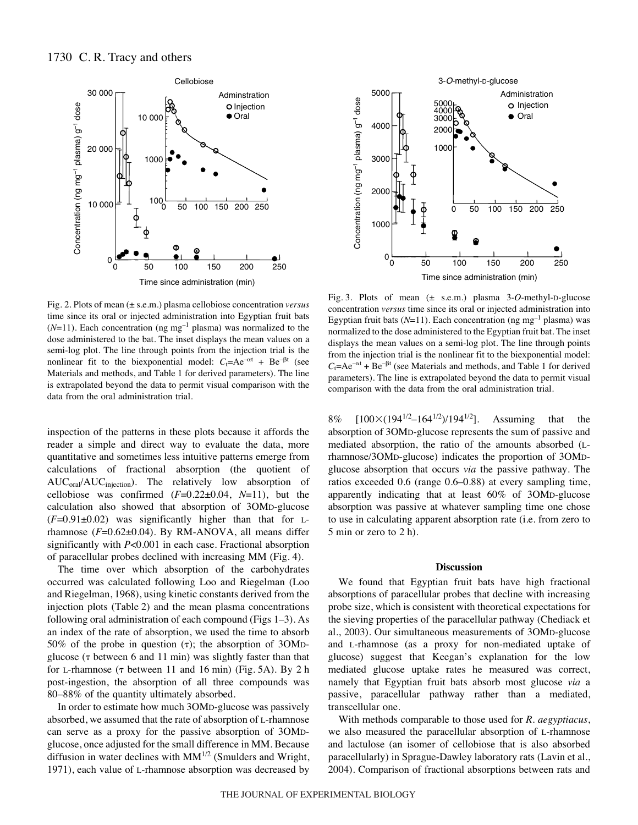

Fig. 2. Plots of mean ( $\pm$  s.e.m.) plasma cellobiose concentration *versus* time since its oral or injected administration into Egyptian fruit bats  $(N=11)$ . Each concentration (ng mg<sup>-1</sup> plasma) was normalized to the dose administered to the bat. The inset displays the mean values on a semi-log plot. The line through points from the injection trial is the nonlinear fit to the biexponential model:  $C_t=Ae^{-\alpha t} + Be^{-\beta t}$  (see Materials and methods, and Table 1 for derived parameters). The line is extrapolated beyond the data to permit visual comparison with the data from the oral administration trial.

inspection of the patterns in these plots because it affords the reader a simple and direct way to evaluate the data, more quantitative and sometimes less intuitive patterns emerge from calculations of fractional absorption (the quotient of AUC<sub>oral</sub>/AUC<sub>injection</sub>). The relatively low absorption of cellobiose was confirmed  $(F=0.22\pm0.04, N=11)$ , but the calculation also showed that absorption of 3OMD-glucose  $(F=0.91\pm0.02)$  was significantly higher than that for Lrhamnose (*F*=0.62±0.04). By RM-ANOVA, all means differ significantly with *P*<0.001 in each case. Fractional absorption of paracellular probes declined with increasing MM (Fig.·4).

The time over which absorption of the carbohydrates occurred was calculated following Loo and Riegelman (Loo and Riegelman, 1968), using kinetic constants derived from the injection plots (Table 2) and the mean plasma concentrations following oral administration of each compound (Figs  $1-3$ ). As an index of the rate of absorption, we used the time to absorb 50% of the probe in question  $(\tau)$ ; the absorption of 3OMDglucose ( $\tau$  between 6 and 11 min) was slightly faster than that for L-rhamnose  $(\tau$  between 11 and 16 min) (Fig. 5A). By 2 h post-ingestion, the absorption of all three compounds was 80–88% of the quantity ultimately absorbed.

In order to estimate how much 3OMD-glucose was passively absorbed, we assumed that the rate of absorption of L-rhamnose can serve as a proxy for the passive absorption of 3OMDglucose, once adjusted for the small difference in MM. Because diffusion in water declines with  $MM^{1/2}$  (Smulders and Wright, 1971), each value of L-rhamnose absorption was decreased by



Fig. 3. Plots of mean (± s.e.m.) plasma 3-O-methyl-D-glucose concentration *versus* time since its oral or injected administration into Egyptian fruit bats  $(N=11)$ . Each concentration (ng mg<sup>-1</sup> plasma) was normalized to the dose administered to the Egyptian fruit bat. The inset displays the mean values on a semi-log plot. The line through points from the injection trial is the nonlinear fit to the biexponential model:  $C_t=Ae^{-\alpha t} + Be^{-\beta t}$  (see Materials and methods, and Table 1 for derived parameters). The line is extrapolated beyond the data to permit visual comparison with the data from the oral administration trial.

8%  $[100 \times (194^{1/2} - 164^{1/2})/194^{1/2}]$ . Assuming that the absorption of 3OMD-glucose represents the sum of passive and mediated absorption, the ratio of the amounts absorbed (Lrhamnose/3OMD-glucose) indicates the proportion of 3OMDglucose absorption that occurs *via* the passive pathway. The ratios exceeded 0.6 (range 0.6–0.88) at every sampling time, apparently indicating that at least 60% of 3OMD-glucose absorption was passive at whatever sampling time one chose to use in calculating apparent absorption rate (i.e. from zero to  $5$  min or zero to  $2$  h).

## **Discussion**

We found that Egyptian fruit bats have high fractional absorptions of paracellular probes that decline with increasing probe size, which is consistent with theoretical expectations for the sieving properties of the paracellular pathway (Chediack et al., 2003). Our simultaneous measurements of 3OMD-glucose and L-rhamnose (as a proxy for non-mediated uptake of glucose) suggest that Keegan's explanation for the low mediated glucose uptake rates he measured was correct, namely that Egyptian fruit bats absorb most glucose *via* a passive, paracellular pathway rather than a mediated, transcellular one.

With methods comparable to those used for *R. aegyptiacus*, we also measured the paracellular absorption of L-rhamnose and lactulose (an isomer of cellobiose that is also absorbed paracellularly) in Sprague-Dawley laboratory rats (Lavin et al., 2004). Comparison of fractional absorptions between rats and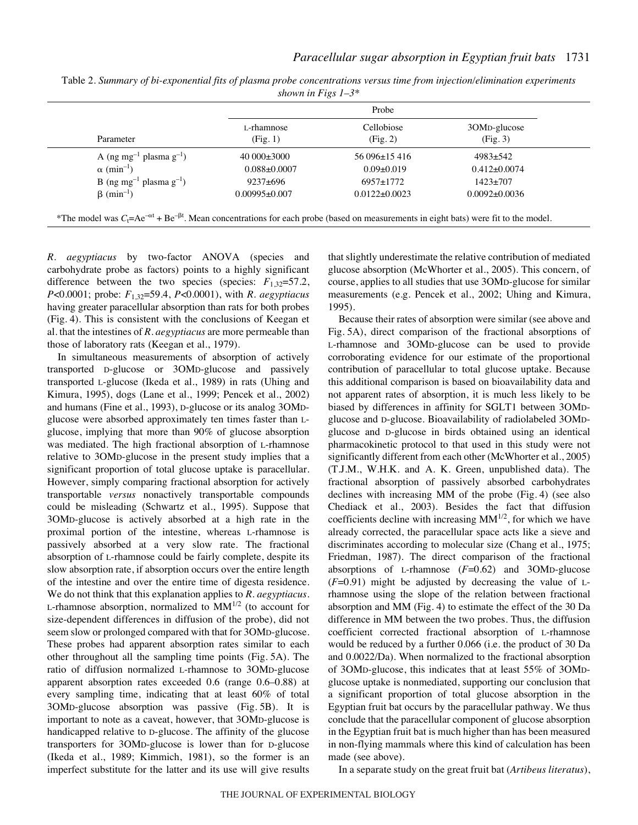| Parameter                                       | Probe                  |                        |                          |
|-------------------------------------------------|------------------------|------------------------|--------------------------|
|                                                 | L-rhamnose<br>(Fig. 1) | Cellobiose<br>(Fig. 2) | 30MD-glucose<br>(Fig. 3) |
| A (ng mg <sup>-1</sup> plasma g <sup>-1</sup> ) | $40000\pm3000$         | $56096\pm15416$        | $4983 \pm 542$           |
| $\alpha$ (min <sup>-1</sup> )                   | $0.088 \pm 0.0007$     | $0.09 \pm 0.019$       | $0.412 \pm 0.0074$       |
| B (ng mg <sup>-1</sup> plasma g <sup>-1</sup> ) | $9237 \pm 696$         | $6957 \pm 1772$        | $1423 \pm 707$           |
| $\beta$ (min <sup>-1</sup> )                    | $0.00995\pm0.007$      | $0.0122 \pm 0.0023$    | $0.0092 \pm 0.0036$      |

Table 2. *Summary of bi-exponential fits of plasma probe concentrations versus time from injection/elimination experiments shown in Figs 1–3\**

*R. aegyptiacus* by two-factor ANOVA (species and carbohydrate probe as factors) points to a highly significant difference between the two species (species:  $F_{1,32}=57.2$ , *P*<0.0001; probe: *F*1,32=59.4, *P*<0.0001), with *R. aegyptiacus* having greater paracellular absorption than rats for both probes (Fig. 4). This is consistent with the conclusions of Keegan et al. that the intestines of *R. aegyptiacus* are more permeable than those of laboratory rats (Keegan et al., 1979).

In simultaneous measurements of absorption of actively transported D-glucose or 3OMD-glucose and passively transported L-glucose (Ikeda et al., 1989) in rats (Uhing and Kimura, 1995), dogs (Lane et al., 1999; Pencek et al., 2002) and humans (Fine et al., 1993), D-glucose or its analog 3OMDglucose were absorbed approximately ten times faster than Lglucose, implying that more than 90% of glucose absorption was mediated. The high fractional absorption of L-rhamnose relative to 3OMD-glucose in the present study implies that a significant proportion of total glucose uptake is paracellular. However, simply comparing fractional absorption for actively transportable *versus* nonactively transportable compounds could be misleading (Schwartz et al., 1995). Suppose that 3OMD-glucose is actively absorbed at a high rate in the proximal portion of the intestine, whereas L-rhamnose is passively absorbed at a very slow rate. The fractional absorption of L-rhamnose could be fairly complete, despite its slow absorption rate, if absorption occurs over the entire length of the intestine and over the entire time of digesta residence. We do not think that this explanation applies to *R. aegyptiacus*. L-rhamnose absorption, normalized to  $MM^{1/2}$  (to account for size-dependent differences in diffusion of the probe), did not seem slow or prolonged compared with that for 3OMD-glucose. These probes had apparent absorption rates similar to each other throughout all the sampling time points (Fig. 5A). The ratio of diffusion normalized L-rhamnose to 3OMD-glucose apparent absorption rates exceeded 0.6 (range 0.6–0.88) at every sampling time, indicating that at least 60% of total 3OMD-glucose absorption was passive (Fig. 5B). It is important to note as a caveat, however, that 3OMD-glucose is handicapped relative to D-glucose. The affinity of the glucose transporters for 3OMD-glucose is lower than for D-glucose (Ikeda et al., 1989; Kimmich, 1981), so the former is an imperfect substitute for the latter and its use will give results

that slightly underestimate the relative contribution of mediated glucose absorption (McWhorter et al., 2005). This concern, of course, applies to all studies that use 3OMD-glucose for similar measurements (e.g. Pencek et al., 2002; Uhing and Kimura, 1995).

Because their rates of absorption were similar (see above and Fig. 5A), direct comparison of the fractional absorptions of L-rhamnose and 3OMD-glucose can be used to provide corroborating evidence for our estimate of the proportional contribution of paracellular to total glucose uptake. Because this additional comparison is based on bioavailability data and not apparent rates of absorption, it is much less likely to be biased by differences in affinity for SGLT1 between 3OMDglucose and D-glucose. Bioavailability of radiolabeled 3OMDglucose and D-glucose in birds obtained using an identical pharmacokinetic protocol to that used in this study were not significantly different from each other (McWhorter et al., 2005) (T.J.M., W.H.K. and A. K. Green, unpublished data). The fractional absorption of passively absorbed carbohydrates declines with increasing MM of the probe  $(Fig. 4)$  (see also Chediack et al., 2003). Besides the fact that diffusion coefficients decline with increasing  $MM^{1/2}$ , for which we have already corrected, the paracellular space acts like a sieve and discriminates according to molecular size (Chang et al., 1975; Friedman, 1987). The direct comparison of the fractional absorptions of L-rhamnose (*F*=0.62) and 3OMD-glucose  $(F=0.91)$  might be adjusted by decreasing the value of Lrhamnose using the slope of the relation between fractional absorption and MM (Fig. 4) to estimate the effect of the 30 Da difference in MM between the two probes. Thus, the diffusion coefficient corrected fractional absorption of L-rhamnose would be reduced by a further 0.066 (i.e. the product of 30 Da and 0.0022/Da). When normalized to the fractional absorption of 3OMD-glucose, this indicates that at least 55% of 3OMDglucose uptake is nonmediated, supporting our conclusion that a significant proportion of total glucose absorption in the Egyptian fruit bat occurs by the paracellular pathway. We thus conclude that the paracellular component of glucose absorption in the Egyptian fruit bat is much higher than has been measured in non-flying mammals where this kind of calculation has been made (see above).

In a separate study on the great fruit bat (*Artibeus literatus*),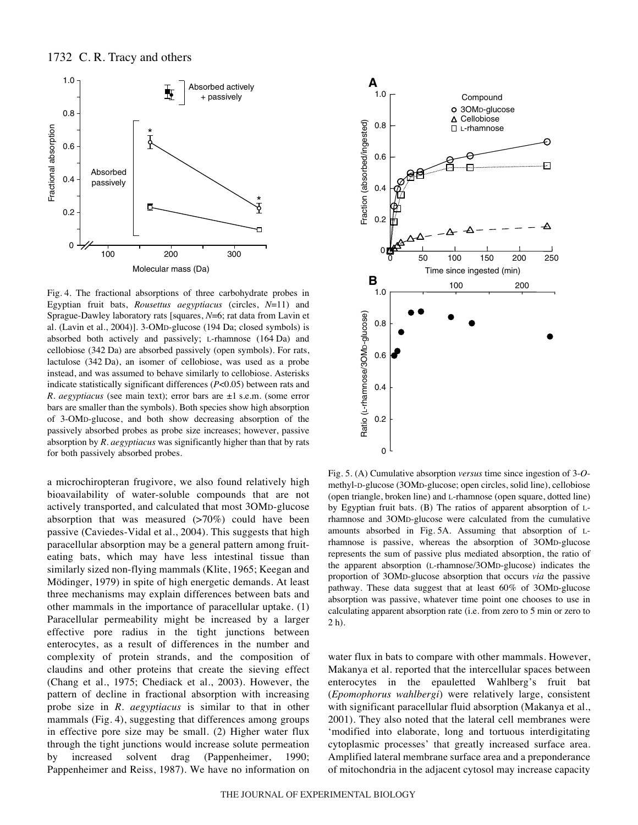

Fig. 4. The fractional absorptions of three carbohydrate probes in Egyptian fruit bats, *Rousettus aegyptiacus* (circles, *N*=11) and Sprague-Dawley laboratory rats [squares, *N*=6; rat data from Lavin et al. (Lavin et al., 2004)]. 3-OMD-glucose (194 Da; closed symbols) is absorbed both actively and passively; L-rhamnose (164 Da) and cellobiose (342 Da) are absorbed passively (open symbols). For rats, lactulose (342 Da), an isomer of cellobiose, was used as a probe instead, and was assumed to behave similarly to cellobiose. Asterisks indicate statistically significant differences (*P*<0.05) between rats and *R. aegyptiacus* (see main text); error bars are ±1 s.e.m. (some error bars are smaller than the symbols). Both species show high absorption of 3-OMD-glucose, and both show decreasing absorption of the passively absorbed probes as probe size increases; however, passive absorption by *R. aegyptiacus* was significantly higher than that by rats for both passively absorbed probes.

a microchiropteran frugivore, we also found relatively high bioavailability of water-soluble compounds that are not actively transported, and calculated that most 3OMD-glucose absorption that was measured  $(>70%)$  could have been passive (Caviedes-Vidal et al., 2004). This suggests that high paracellular absorption may be a general pattern among fruiteating bats, which may have less intestinal tissue than similarly sized non-flying mammals (Klite, 1965; Keegan and Mödinger, 1979) in spite of high energetic demands. At least three mechanisms may explain differences between bats and other mammals in the importance of paracellular uptake. (1) Paracellular permeability might be increased by a larger effective pore radius in the tight junctions between enterocytes, as a result of differences in the number and complexity of protein strands, and the composition of claudins and other proteins that create the sieving effect (Chang et al., 1975; Chediack et al., 2003). However, the pattern of decline in fractional absorption with increasing probe size in *R. aegyptiacus* is similar to that in other mammals (Fig. 4), suggesting that differences among groups in effective pore size may be small. (2) Higher water flux through the tight junctions would increase solute permeation by increased solvent drag (Pappenheimer, 1990; Pappenheimer and Reiss, 1987). We have no information on



Fig. 5. (A) Cumulative absorption *versus* time since ingestion of 3-*O*methyl-D-glucose (3OMD-glucose; open circles, solid line), cellobiose (open triangle, broken line) and L-rhamnose (open square, dotted line) by Egyptian fruit bats. (B) The ratios of apparent absorption of Lrhamnose and 3OMD-glucose were calculated from the cumulative amounts absorbed in Fig. 5A. Assuming that absorption of Lrhamnose is passive, whereas the absorption of 3OMD-glucose represents the sum of passive plus mediated absorption, the ratio of the apparent absorption (L-rhamnose/3OMD-glucose) indicates the proportion of 3OMD-glucose absorption that occurs *via* the passive pathway. These data suggest that at least 60% of 3OMD-glucose absorption was passive, whatever time point one chooses to use in calculating apparent absorption rate (i.e. from zero to 5 min or zero to  $2<sub>h</sub>$ ).

water flux in bats to compare with other mammals. However, Makanya et al. reported that the intercellular spaces between enterocytes in the epauletted Wahlberg's fruit bat (*Epomophorus wahlbergi*) were relatively large, consistent with significant paracellular fluid absorption (Makanya et al., 2001). They also noted that the lateral cell membranes were 'modified into elaborate, long and tortuous interdigitating cytoplasmic processes' that greatly increased surface area. Amplified lateral membrane surface area and a preponderance of mitochondria in the adjacent cytosol may increase capacity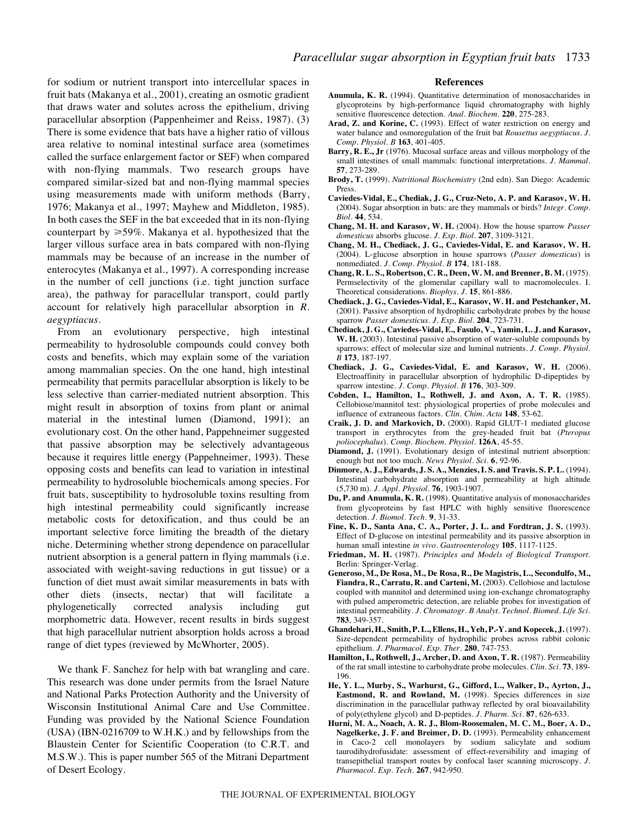for sodium or nutrient transport into intercellular spaces in fruit bats (Makanya et al., 2001), creating an osmotic gradient that draws water and solutes across the epithelium, driving paracellular absorption (Pappenheimer and Reiss, 1987). (3) There is some evidence that bats have a higher ratio of villous area relative to nominal intestinal surface area (sometimes called the surface enlargement factor or SEF) when compared with non-flying mammals. Two research groups have compared similar-sized bat and non-flying mammal species using measurements made with uniform methods (Barry, 1976; Makanya et al., 1997; Mayhew and Middleton, 1985). In both cases the SEF in the bat exceeded that in its non-flying counterpart by  $\geq 59\%$ . Makanya et al. hypothesized that the larger villous surface area in bats compared with non-flying mammals may be because of an increase in the number of enterocytes (Makanya et al., 1997). A corresponding increase in the number of cell junctions (i.e. tight junction surface area), the pathway for paracellular transport, could partly account for relatively high paracellular absorption in *R. aegyptiacus*.

From an evolutionary perspective, high intestinal permeability to hydrosoluble compounds could convey both costs and benefits, which may explain some of the variation among mammalian species. On the one hand, high intestinal permeability that permits paracellular absorption is likely to be less selective than carrier-mediated nutrient absorption. This might result in absorption of toxins from plant or animal material in the intestinal lumen (Diamond, 1991); an evolutionary cost. On the other hand, Pappehneimer suggested that passive absorption may be selectively advantageous because it requires little energy (Pappehneimer, 1993). These opposing costs and benefits can lead to variation in intestinal permeability to hydrosoluble biochemicals among species. For fruit bats, susceptibility to hydrosoluble toxins resulting from high intestinal permeability could significantly increase metabolic costs for detoxification, and thus could be an important selective force limiting the breadth of the dietary niche. Determining whether strong dependence on paracellular nutrient absorption is a general pattern in flying mammals (i.e. associated with weight-saving reductions in gut tissue) or a function of diet must await similar measurements in bats with other diets (insects, nectar) that will facilitate a phylogenetically corrected analysis including gut morphometric data. However, recent results in birds suggest that high paracellular nutrient absorption holds across a broad range of diet types (reviewed by McWhorter, 2005).

We thank F. Sanchez for help with bat wrangling and care. This research was done under permits from the Israel Nature and National Parks Protection Authority and the University of Wisconsin Institutional Animal Care and Use Committee. Funding was provided by the National Science Foundation (USA) (IBN-0216709 to W.H.K.) and by fellowships from the Blaustein Center for Scientific Cooperation (to C.R.T. and M.S.W.). This is paper number 565 of the Mitrani Department of Desert Ecology.

#### **References**

- **Anumula, K. R.** (1994). Quantitative determination of monosaccharides in glycoproteins by high-performance liquid chromatography with highly sensitive fluorescence detection. *Anal. Biochem.* **220**, 275-283.
- **Arad, Z. and Korine, C.** (1993). Effect of water restriction on energy and water balance and osmoregulation of the fruit bat *Rousettus aegyptiacus*. *J. Comp. Physiol. B* **163**, 401-405.
- **Barry, R. E., Jr** (1976). Mucosal surface areas and villous morphology of the small intestines of small mammals: functional interpretations. *J. Mammal.* **57**, 273-289.
- **Brody, T.** (1999). *Nutritional Biochemistry* (2nd edn). San Diego: Academic Press.
- **Caviedes-Vidal, E., Chediak, J. G., Cruz-Neto, A. P. and Karasov, W. H.** (2004). Sugar absorption in bats: are they mammals or birds? *Integr. Comp. Biol.* **44**, 534.
- **Chang, M. H. and Karasov, W. H.** (2004). How the house sparrow *Passer domesticus* absorbs glucose. *J. Exp. Biol.* **207**, 3109-3121.
- **Chang, M. H., Chediack, J. G., Caviedes-Vidal, E. and Karasov, W. H.** (2004). L-glucose absorption in house sparrows (*Passer domesticus*) is nonmediated. *J. Comp. Physiol. B* **174**, 181-188.
- **Chang, R. L. S., Robertson, C. R., Deen, W. M. and Brenner, B. M.** (1975). Permselectivity of the glomerular capillary wall to macromolecules. I. Theoretical considerations. *Biophys. J.* **15**, 861-886.
- **Chediack, J. G., Caviedes-Vidal, E., Karasov, W. H. and Pestchanker, M.** (2001). Passive absorption of hydrophilic carbohydrate probes by the house sparrow *Passer domesticus*. *J. Exp. Biol.* **204**, 723-731.
- **Chediack, J. G., Caviedes-Vidal, E., Fasulo, V., Yamin, L. J. and Karasov, W. H.** (2003). Intestinal passive absorption of water-soluble compounds by sparrows: effect of molecular size and luminal nutrients. *J. Comp. Physiol. B* **173**, 187-197.
- **Chediack, J. G., Caviedes-Vidal, E. and Karasov, W. H.** (2006). Electroaffinity in paracellular absorption of hydrophilic D-dipeptides by sparrow intestine. *J. Comp. Physiol. B* **176**, 303-309.
- **Cobden, I., Hamilton, I., Rothwell, J. and Axon, A. T. R.** (1985). Cellobiose/mannitol test: physiological properties of probe molecules and influence of extraneous factors. *Clin. Chim. Acta* **148**, 53-62.
- **Craik, J. D. and Markovich, D.** (2000). Rapid GLUT-1 mediated glucose transport in erythrocytes from the grey-headed fruit bat (*Pteropus poliocephalus*). *Comp. Biochem. Physiol.* **126A**, 45-55.
- **Diamond, J.** (1991). Evolutionary design of intestinal nutrient absorption: enough but not too much. *News Physiol. Sci.* **6**, 92-96.
- **Dinmore, A. J., Edwards, J. S. A., Menzies, I. S. and Travis. S. P. L.** (1994). Intestinal carbohydrate absorption and permeability at high altitude (5,730·m). *J. Appl. Physiol.* **76**, 1903-1907.
- **Du, P. and Anumula, K. R.** (1998). Quantitative analysis of monosaccharides from glycoproteins by fast HPLC with highly sensitive fluorescence detection. *J. Biomol. Tech.* **9**, 31-33.
- **Fine, K. D., Santa Ana, C. A., Porter, J. L. and Fordtran, J. S.** (1993). Effect of D-glucose on intestinal permeability and its passive absorption in human small intestine *in vivo*. *Gastroenterology* **105**, 1117-1125.
- **Friedman, M. H.** (1987). *Principles and Models of Biological Transport*. Berlin: Springer-Verlag.
- **Generoso, M., De Rosa, M., De Rosa, R., De Magistris, L., Secondulfo, M., Fiandra, R., Carratu, R. and Carteni, M.** (2003). Cellobiose and lactulose coupled with mannitol and determined using ion-exchange chromatography with pulsed amperometric detection, are reliable probes for investigation of intestinal permeability. *J. Chromatogr. B Analyt. Technol. Biomed. Life Sci.* **783**, 349-357.
- **Ghandehari, H., Smith, P. L., Ellens, H., Yeh, P.-Y. and Kopecek, J.** (1997). Size-dependent permeability of hydrophilic probes across rabbit colonic epithelium. *J. Pharmacol. Exp. Ther.* **280**, 747-753.
- **Hamilton, I., Rothwell, J., Archer, D. and Axon, T. R.** (1987). Permeability of the rat small intestine to carbohydrate probe molecules. *Clin. Sci.* **73**, 189- 196.
- **He, Y. L., Murby, S., Warhurst, G., Gifford, L., Walker, D., Ayrton, J., Eastmond, R. and Rowland, M.** (1998). Species differences in size discrimination in the paracellular pathway reflected by oral bioavailability of poly(ethylene glycol) and D-peptides. *J. Pharm. Sci.* **87**, 626-633.
- **Hurni, M. A., Noach, A. R. J., Blom-Roosemalen, M. C. M., Boer, A. D., Nagelkerke, J. F. and Breimer, D. D.** (1993). Permeability enhancement in Caco-2 cell monolayers by sodium salicylate and sodium taurodihydrofusidate: assessment of effect-reversibility and imaging of transepithelial transport routes by confocal laser scanning microscopy. *J. Pharmacol. Exp. Tech.* **267**, 942-950.